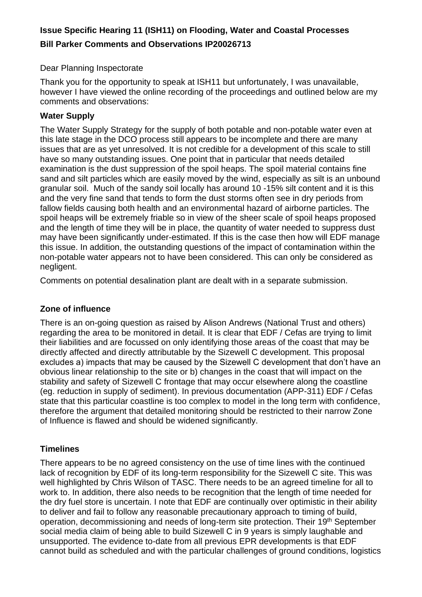# **Issue Specific Hearing 11 (ISH11) on Flooding, Water and Coastal Processes Bill Parker Comments and Observations IP20026713**

Dear Planning Inspectorate

Thank you for the opportunity to speak at ISH11 but unfortunately, I was unavailable, however I have viewed the online recording of the proceedings and outlined below are my comments and observations:

### **Water Supply**

The Water Supply Strategy for the supply of both potable and non-potable water even at this late stage in the DCO process still appears to be incomplete and there are many issues that are as yet unresolved. It is not credible for a development of this scale to still have so many outstanding issues. One point that in particular that needs detailed examination is the dust suppression of the spoil heaps. The spoil material contains fine sand and silt particles which are easily moved by the wind, especially as silt is an unbound granular soil. Much of the sandy soil locally has around 10 -15% silt content and it is this and the very fine sand that tends to form the dust storms often see in dry periods from fallow fields causing both health and an environmental hazard of airborne particles. The spoil heaps will be extremely friable so in view of the sheer scale of spoil heaps proposed and the length of time they will be in place, the quantity of water needed to suppress dust may have been significantly under-estimated. If this is the case then how will EDF manage this issue. In addition, the outstanding questions of the impact of contamination within the non-potable water appears not to have been considered. This can only be considered as negligent.

Comments on potential desalination plant are dealt with in a separate submission.

## **Zone of influence**

There is an on-going question as raised by Alison Andrews (National Trust and others) regarding the area to be monitored in detail. It is clear that EDF / Cefas are trying to limit their liabilities and are focussed on only identifying those areas of the coast that may be directly affected and directly attributable by the Sizewell C development. This proposal excludes a) impacts that may be caused by the Sizewell C development that don't have an obvious linear relationship to the site or b) changes in the coast that will impact on the stability and safety of Sizewell C frontage that may occur elsewhere along the coastline (eg. reduction in supply of sediment). In previous documentation (APP-311) EDF / Cefas state that this particular coastline is too complex to model in the long term with confidence, therefore the argument that detailed monitoring should be restricted to their narrow Zone of Influence is flawed and should be widened significantly.

### **Timelines**

There appears to be no agreed consistency on the use of time lines with the continued lack of recognition by EDF of its long-term responsibility for the Sizewell C site. This was well highlighted by Chris Wilson of TASC. There needs to be an agreed timeline for all to work to. In addition, there also needs to be recognition that the length of time needed for the dry fuel store is uncertain. I note that EDF are continually over optimistic in their ability to deliver and fail to follow any reasonable precautionary approach to timing of build, operation, decommissioning and needs of long-term site protection. Their 19<sup>th</sup> September social media claim of being able to build Sizewell C in 9 years is simply laughable and unsupported. The evidence to-date from all previous EPR developments is that EDF cannot build as scheduled and with the particular challenges of ground conditions, logistics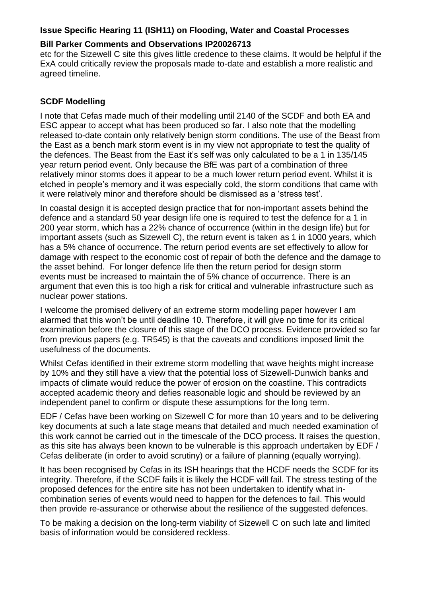#### **Issue Specific Hearing 11 (ISH11) on Flooding, Water and Coastal Processes**

### **Bill Parker Comments and Observations IP20026713**

etc for the Sizewell C site this gives little credence to these claims. It would be helpful if the ExA could critically review the proposals made to-date and establish a more realistic and agreed timeline.

### **SCDF Modelling**

I note that Cefas made much of their modelling until 2140 of the SCDF and both EA and ESC appear to accept what has been produced so far. I also note that the modelling released to-date contain only relatively benign storm conditions. The use of the Beast from the East as a bench mark storm event is in my view not appropriate to test the quality of the defences. The Beast from the East it's self was only calculated to be a 1 in 135/145 year return period event. Only because the BfE was part of a combination of three relatively minor storms does it appear to be a much lower return period event. Whilst it is etched in people's memory and it was especially cold, the storm conditions that came with it were relatively minor and therefore should be dismissed as a 'stress test'.

In coastal design it is accepted design practice that for non-important assets behind the defence and a standard 50 year design life one is required to test the defence for a 1 in 200 year storm, which has a 22% chance of occurrence (within in the design life) but for important assets (such as Sizewell C), the return event is taken as 1 in 1000 years, which has a 5% chance of occurrence. The return period events are set effectively to allow for damage with respect to the economic cost of repair of both the defence and the damage to the asset behind. For longer defence life then the return period for design storm events must be increased to maintain the of 5% chance of occurrence. There is an argument that even this is too high a risk for critical and vulnerable infrastructure such as nuclear power stations.

I welcome the promised delivery of an extreme storm modelling paper however I am alarmed that this won't be until deadline 10. Therefore, it will give no time for its critical examination before the closure of this stage of the DCO process. Evidence provided so far from previous papers (e.g. TR545) is that the caveats and conditions imposed limit the usefulness of the documents.

Whilst Cefas identified in their extreme storm modelling that wave heights might increase by 10% and they still have a view that the potential loss of Sizewell-Dunwich banks and impacts of climate would reduce the power of erosion on the coastline. This contradicts accepted academic theory and defies reasonable logic and should be reviewed by an independent panel to confirm or dispute these assumptions for the long term.

EDF / Cefas have been working on Sizewell C for more than 10 years and to be delivering key documents at such a late stage means that detailed and much needed examination of this work cannot be carried out in the timescale of the DCO process. It raises the question, as this site has always been known to be vulnerable is this approach undertaken by EDF / Cefas deliberate (in order to avoid scrutiny) or a failure of planning (equally worrying).

It has been recognised by Cefas in its ISH hearings that the HCDF needs the SCDF for its integrity. Therefore, if the SCDF fails it is likely the HCDF will fail. The stress testing of the proposed defences for the entire site has not been undertaken to identify what incombination series of events would need to happen for the defences to fail. This would then provide re-assurance or otherwise about the resilience of the suggested defences.

To be making a decision on the long-term viability of Sizewell C on such late and limited basis of information would be considered reckless.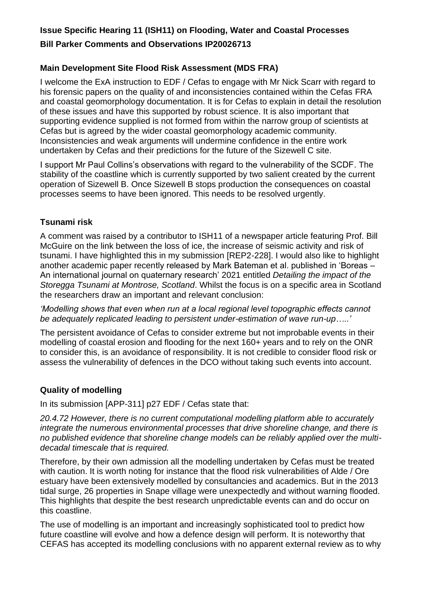### **Issue Specific Hearing 11 (ISH11) on Flooding, Water and Coastal Processes**

### **Bill Parker Comments and Observations IP20026713**

### **Main Development Site Flood Risk Assessment (MDS FRA)**

I welcome the ExA instruction to EDF / Cefas to engage with Mr Nick Scarr with regard to his forensic papers on the quality of and inconsistencies contained within the Cefas FRA and coastal geomorphology documentation. It is for Cefas to explain in detail the resolution of these issues and have this supported by robust science. It is also important that supporting evidence supplied is not formed from within the narrow group of scientists at Cefas but is agreed by the wider coastal geomorphology academic community. Inconsistencies and weak arguments will undermine confidence in the entire work undertaken by Cefas and their predictions for the future of the Sizewell C site.

I support Mr Paul Collins's observations with regard to the vulnerability of the SCDF. The stability of the coastline which is currently supported by two salient created by the current operation of Sizewell B. Once Sizewell B stops production the consequences on coastal processes seems to have been ignored. This needs to be resolved urgently.

#### **Tsunami risk**

A comment was raised by a contributor to ISH11 of a newspaper article featuring Prof. Bill McGuire on the link between the loss of ice, the increase of seismic activity and risk of tsunami. I have highlighted this in my submission [REP2-228]. I would also like to highlight another academic paper recently released by Mark Bateman et al. published in 'Boreas – An international journal on quaternary research' 2021 entitled *Detailing the impact of the Storegga Tsunami at Montrose, Scotland*. Whilst the focus is on a specific area in Scotland the researchers draw an important and relevant conclusion:

#### *'Modelling shows that even when run at a local regional level topographic effects cannot be adequately replicated leading to persistent under-estimation of wave run-up…..'*

The persistent avoidance of Cefas to consider extreme but not improbable events in their modelling of coastal erosion and flooding for the next 160+ years and to rely on the ONR to consider this, is an avoidance of responsibility. It is not credible to consider flood risk or assess the vulnerability of defences in the DCO without taking such events into account.

### **Quality of modelling**

In its submission [APP-311] p27 EDF / Cefas state that:

*20.4.72 However, there is no current computational modelling platform able to accurately integrate the numerous environmental processes that drive shoreline change, and there is no published evidence that shoreline change models can be reliably applied over the multidecadal timescale that is required.*

Therefore, by their own admission all the modelling undertaken by Cefas must be treated with caution. It is worth noting for instance that the flood risk vulnerabilities of Alde / Ore estuary have been extensively modelled by consultancies and academics. But in the 2013 tidal surge, 26 properties in Snape village were unexpectedly and without warning flooded. This highlights that despite the best research unpredictable events can and do occur on this coastline.

The use of modelling is an important and increasingly sophisticated tool to predict how future coastline will evolve and how a defence design will perform. It is noteworthy that CEFAS has accepted its modelling conclusions with no apparent external review as to why